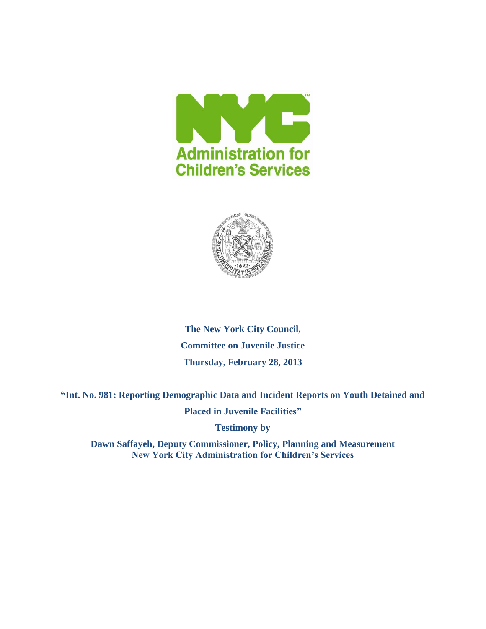



**The New York City Council, Committee on Juvenile Justice Thursday, February 28, 2013**

**"Int. No. 981: Reporting Demographic Data and Incident Reports on Youth Detained and**

**Placed in Juvenile Facilities"**

**Testimony by**

**Dawn Saffayeh, Deputy Commissioner, Policy, Planning and Measurement New York City Administration for Children's Services**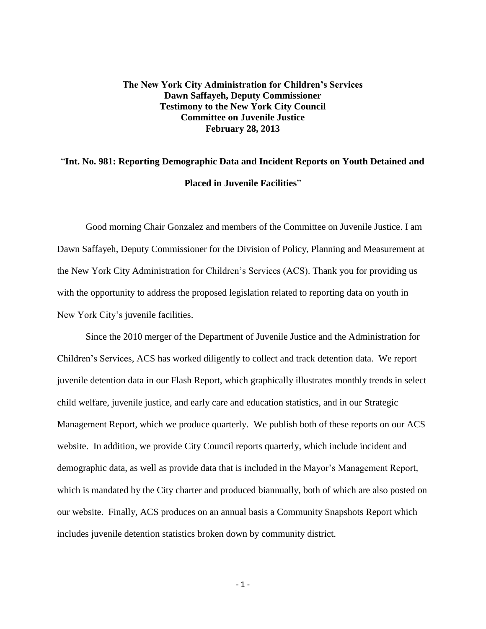## **The New York City Administration for Children's Services Dawn Saffayeh, Deputy Commissioner Testimony to the New York City Council Committee on Juvenile Justice February 28, 2013**

# "**Int. No. 981: Reporting Demographic Data and Incident Reports on Youth Detained and Placed in Juvenile Facilities**"

Good morning Chair Gonzalez and members of the Committee on Juvenile Justice. I am Dawn Saffayeh, Deputy Commissioner for the Division of Policy, Planning and Measurement at the New York City Administration for Children's Services (ACS). Thank you for providing us with the opportunity to address the proposed legislation related to reporting data on youth in New York City's juvenile facilities.

Since the 2010 merger of the Department of Juvenile Justice and the Administration for Children's Services, ACS has worked diligently to collect and track detention data. We report juvenile detention data in our Flash Report, which graphically illustrates monthly trends in select child welfare, juvenile justice, and early care and education statistics, and in our Strategic Management Report, which we produce quarterly. We publish both of these reports on our ACS website. In addition, we provide City Council reports quarterly, which include incident and demographic data, as well as provide data that is included in the Mayor's Management Report, which is mandated by the City charter and produced biannually, both of which are also posted on our website. Finally, ACS produces on an annual basis a Community Snapshots Report which includes juvenile detention statistics broken down by community district.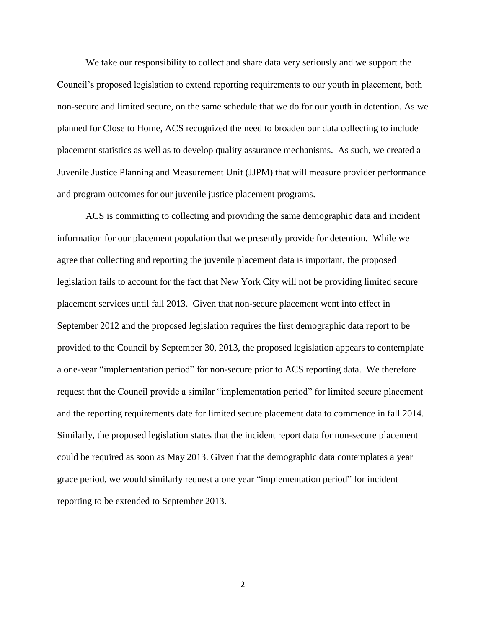We take our responsibility to collect and share data very seriously and we support the Council's proposed legislation to extend reporting requirements to our youth in placement, both non-secure and limited secure, on the same schedule that we do for our youth in detention. As we planned for Close to Home, ACS recognized the need to broaden our data collecting to include placement statistics as well as to develop quality assurance mechanisms. As such, we created a Juvenile Justice Planning and Measurement Unit (JJPM) that will measure provider performance and program outcomes for our juvenile justice placement programs.

ACS is committing to collecting and providing the same demographic data and incident information for our placement population that we presently provide for detention. While we agree that collecting and reporting the juvenile placement data is important, the proposed legislation fails to account for the fact that New York City will not be providing limited secure placement services until fall 2013. Given that non-secure placement went into effect in September 2012 and the proposed legislation requires the first demographic data report to be provided to the Council by September 30, 2013, the proposed legislation appears to contemplate a one-year "implementation period" for non-secure prior to ACS reporting data. We therefore request that the Council provide a similar "implementation period" for limited secure placement and the reporting requirements date for limited secure placement data to commence in fall 2014. Similarly, the proposed legislation states that the incident report data for non-secure placement could be required as soon as May 2013. Given that the demographic data contemplates a year grace period, we would similarly request a one year "implementation period" for incident reporting to be extended to September 2013.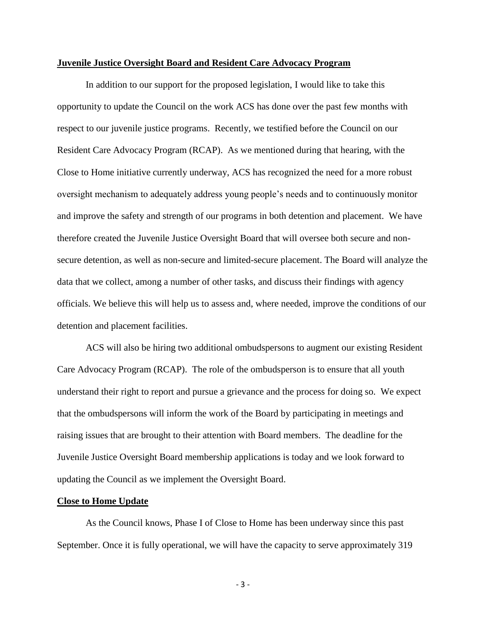#### **Juvenile Justice Oversight Board and Resident Care Advocacy Program**

In addition to our support for the proposed legislation, I would like to take this opportunity to update the Council on the work ACS has done over the past few months with respect to our juvenile justice programs. Recently, we testified before the Council on our Resident Care Advocacy Program (RCAP). As we mentioned during that hearing, with the Close to Home initiative currently underway, ACS has recognized the need for a more robust oversight mechanism to adequately address young people's needs and to continuously monitor and improve the safety and strength of our programs in both detention and placement. We have therefore created the Juvenile Justice Oversight Board that will oversee both secure and nonsecure detention, as well as non-secure and limited-secure placement. The Board will analyze the data that we collect, among a number of other tasks, and discuss their findings with agency officials. We believe this will help us to assess and, where needed, improve the conditions of our detention and placement facilities.

ACS will also be hiring two additional ombudspersons to augment our existing Resident Care Advocacy Program (RCAP). The role of the ombudsperson is to ensure that all youth understand their right to report and pursue a grievance and the process for doing so. We expect that the ombudspersons will inform the work of the Board by participating in meetings and raising issues that are brought to their attention with Board members. The deadline for the Juvenile Justice Oversight Board membership applications is today and we look forward to updating the Council as we implement the Oversight Board.

#### **Close to Home Update**

As the Council knows, Phase I of Close to Home has been underway since this past September. Once it is fully operational, we will have the capacity to serve approximately 319

- 3 -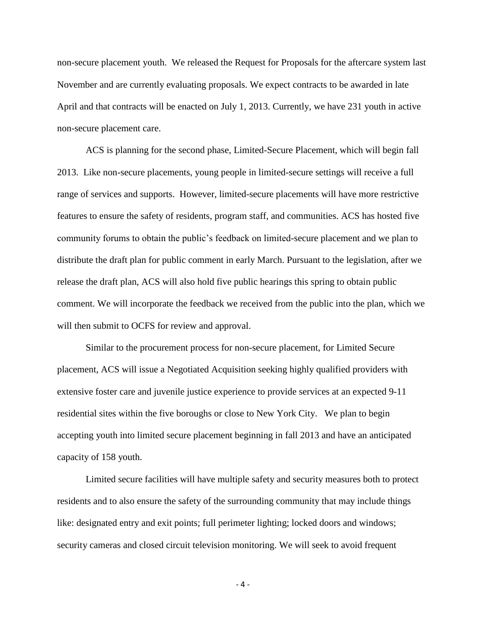non-secure placement youth. We released the Request for Proposals for the aftercare system last November and are currently evaluating proposals. We expect contracts to be awarded in late April and that contracts will be enacted on July 1, 2013. Currently, we have 231 youth in active non-secure placement care.

ACS is planning for the second phase, Limited-Secure Placement, which will begin fall 2013. Like non-secure placements, young people in limited-secure settings will receive a full range of services and supports. However, limited-secure placements will have more restrictive features to ensure the safety of residents, program staff, and communities. ACS has hosted five community forums to obtain the public's feedback on limited-secure placement and we plan to distribute the draft plan for public comment in early March. Pursuant to the legislation, after we release the draft plan, ACS will also hold five public hearings this spring to obtain public comment. We will incorporate the feedback we received from the public into the plan, which we will then submit to OCFS for review and approval.

Similar to the procurement process for non-secure placement, for Limited Secure placement, ACS will issue a Negotiated Acquisition seeking highly qualified providers with extensive foster care and juvenile justice experience to provide services at an expected 9-11 residential sites within the five boroughs or close to New York City. We plan to begin accepting youth into limited secure placement beginning in fall 2013 and have an anticipated capacity of 158 youth.

Limited secure facilities will have multiple safety and security measures both to protect residents and to also ensure the safety of the surrounding community that may include things like: designated entry and exit points; full perimeter lighting; locked doors and windows; security cameras and closed circuit television monitoring. We will seek to avoid frequent

- 4 -